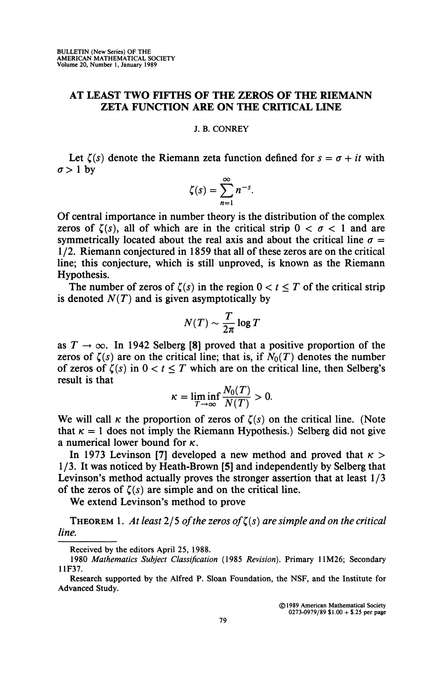## **AT LEAST TWO FIFTHS OF THE ZEROS OF THE RIEMANN ZETA FUNCTION ARE ON THE CRITICAL LINE**

## **J. B. CONREY**

Let  $\zeta(s)$  denote the Riemann zeta function defined for  $s = \sigma + it$  with  $\sigma > 1$  by

$$
\zeta(s)=\sum_{n=1}^{\infty}n^{-s}.
$$

Of central importance in number theory is the distribution of the complex zeros of  $\zeta(s)$ , all of which are in the critical strip  $0 < \sigma < 1$  and are symmetrically located about the real axis and about the critical line  $\sigma =$ 1/2. Riemann conjectured in 1859 that all of these zeros are on the critical line; this conjecture, which is still unproved, is known as the Riemann Hypothesis.

The number of zeros of  $\zeta(s)$  in the region  $0 < t \leq T$  of the critical strip is denoted  $N(T)$  and is given asymptotically by

$$
N(T) \sim \frac{T}{2\pi} \log T
$$

as  $T \rightarrow \infty$ . In 1942 Selberg [8] proved that a positive proportion of the zeros of  $\zeta(s)$  are on the critical line; that is, if  $N_0(T)$  denotes the number of zeros of  $\zeta(s)$  in  $0 < t \leq T$  which are on the critical line, then Selberg's result is that

$$
\kappa = \liminf_{T \to \infty} \frac{N_0(T)}{N(T)} > 0.
$$

We will call  $\kappa$  the proportion of zeros of  $\zeta(s)$  on the critical line. (Note that  $\kappa = 1$  does not imply the Riemann Hypothesis.) Selberg did not give a numerical lower bound for *K.* 

In 1973 Levinson [7] developed a new method and proved that  $\kappa$  > 1/3. It was noticed by Heath-Brown [5] and independently by Selberg that Levinson's method actually proves the stronger assertion that at least 1/3 of the zeros of  $\zeta(s)$  are simple and on the critical line.

We extend Levinson's method to prove

THEOREM 1. At least  $2/5$  of the zeros of  $\zeta(s)$  are simple and on the critical *line.* 

**©1989 American Mathematical Society 0273-0979/89 \$1.00 + \$.25 per page** 

**Received by the editors April 25, 1988.** 

**<sup>1980</sup>** *Mathematics Subject Classification* **(1985** *Revision).* **Primary 11M26; Secondary 11F37.** 

**Research supported by the Alfred P. Sloan Foundation, the NSF, and the Institute for Advanced Study.**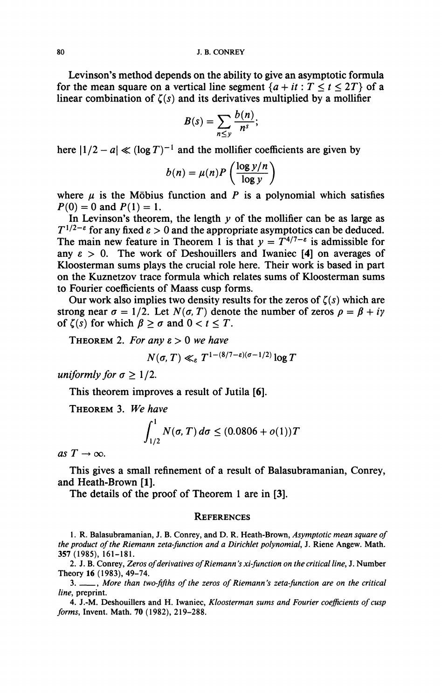**Levinson's method depends on the ability to give an asymptotic formula**  for the mean square on a vertical line segment  $\{a + it : T \le t \le 2T\}$  of a linear combination of  $\zeta(s)$  and its derivatives multiplied by a mollifier

$$
B(s)=\sum_{n\leq y}\frac{b(n)}{n^s};
$$

here  $|1/2 - a| \ll (\log T)^{-1}$  and the mollifier coefficients are given by

$$
b(n) = \mu(n)P\left(\frac{\log y/n}{\log y}\right)
$$

where  $\mu$  is the Möbius function and *P* is a polynomial which satisfies  $P(0) = 0$  and  $P(1) = 1$ .

In Levinson's theorem, the length  $y$  of the mollifier can be as large as  $T^{1/2-\epsilon}$  for any fixed  $\epsilon > 0$  and the appropriate asymptotics can be deduced. The main new feature in Theorem 1 is that  $y = T^{4/7-\epsilon}$  is admissible for any  $\varepsilon > 0$ . The work of Deshouillers and Iwaniec [4] on averages of **Kloosterman sums plays the crucial role here. Their work is based in part on the Kuznetzov trace formula which relates sums of Kloosterman sums to Fourier coefficients of Maass cusp forms.** 

**Our work also implies two density results for the zeros of** *Ç(s)* **which are strong near**  $\sigma = 1/2$ . Let  $N(\sigma, T)$  denote the number of zeros  $\rho = \beta + i\gamma$ of  $\zeta(s)$  for which  $\beta \geq \sigma$  and  $0 < t \leq T$ .

**THEOREM** 2. *For any*  $\varepsilon > 0$  *we have* 

$$
N(\sigma, T) \ll_{\varepsilon} T^{1-(8/7-\varepsilon)(\sigma-1/2)} \log T
$$

*uniformly for*  $\sigma > 1/2$ .

**This theorem improves a result of Jutila [6].** 

**THEOREM 3.** *We have* 

$$
\int_{1/2}^1 N(\sigma, T) \, d\sigma \le (0.0806 + o(1))T
$$

 $as T \rightarrow \infty$ .

**This gives a small refinement of a result of Balasubramanian, Conrey, and Heath-Brown [1].** 

**The details of the proof of Theorem 1 are in [3].** 

## **REFERENCES**

**1. R. Balasubramanian, J. B. Conrey, and D. R. Heath-Brown,** *Asymptotic mean square of the product of the Riemann zeta-function and a Dirichlet polynomial,* **J. Riene Angew. Math. 357(1985), 161-181.** 

**2. J. B. Conrey,** *Zeros of derivatives of Riemann's xi-function on the critical line,* **J. Number Theory 16(1983), 49-74.** 

**3. ,** *More than two-fifths of the zeros of Riemann's zeta-function are on the critical line,* **preprint.** 

**4. J.-M. Deshouillers and H. Iwaniec,** *Kloosterman sums and Fourier coefficients of cusp forms,* **Invent. Math. 70 (1982), 219-288.**